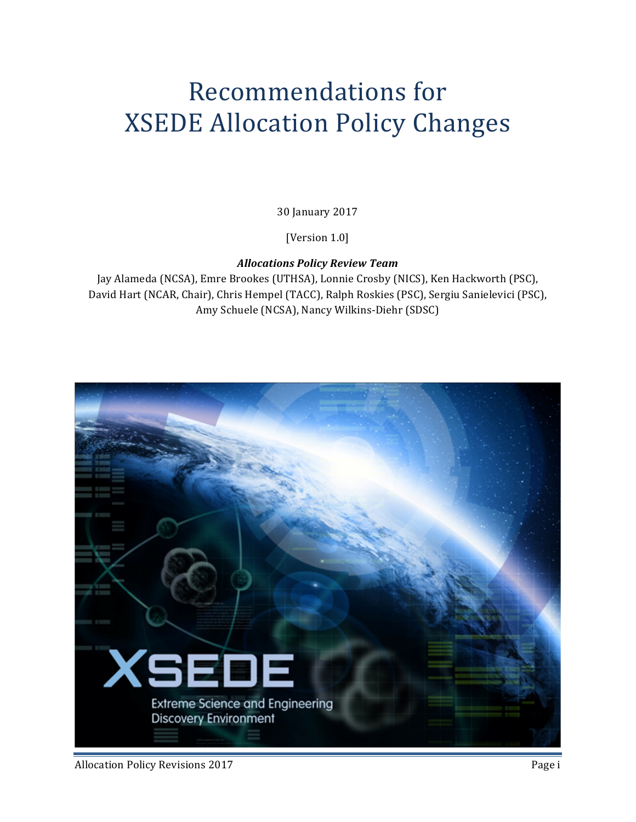# **Recommendations for XSEDE Allocation Policy Changes**

30 January 2017

[Version 1.0]

*Allocations Policy Review Team*

Jay Alameda (NCSA), Emre Brookes (UTHSA), Lonnie Crosby (NICS), Ken Hackworth (PSC), David Hart (NCAR, Chair), Chris Hempel (TACC), Ralph Roskies (PSC), Sergiu Sanielevici (PSC), Amy Schuele (NCSA), Nancy Wilkins-Diehr (SDSC)

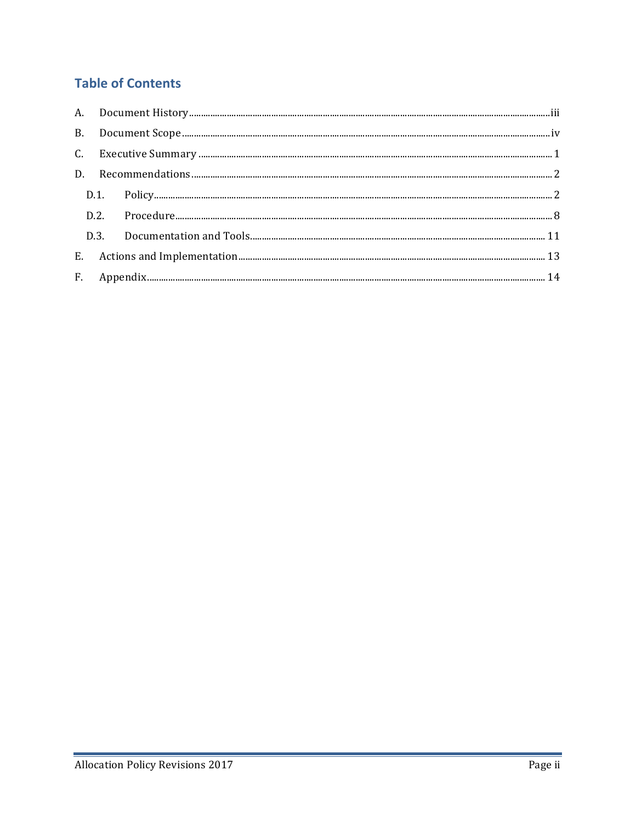# **Table of Contents**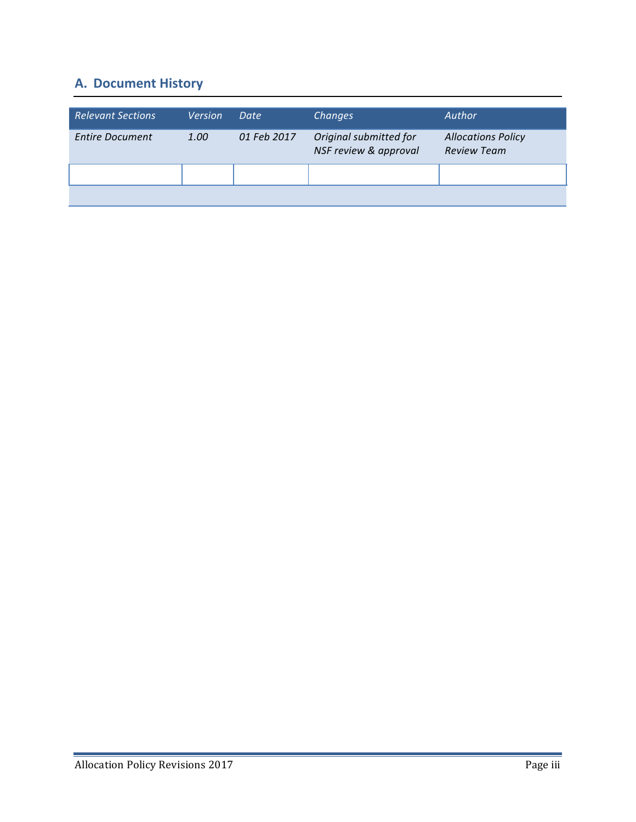# **A. Document History**

| <b>Relevant Sections</b> | <b>Version</b> | Date        | Changes                                         | Author                                          |
|--------------------------|----------------|-------------|-------------------------------------------------|-------------------------------------------------|
| <b>Entire Document</b>   | 1.00           | 01 Feb 2017 | Original submitted for<br>NSF review & approval | <b>Allocations Policy</b><br><b>Review Team</b> |
|                          |                |             |                                                 |                                                 |
|                          |                |             |                                                 |                                                 |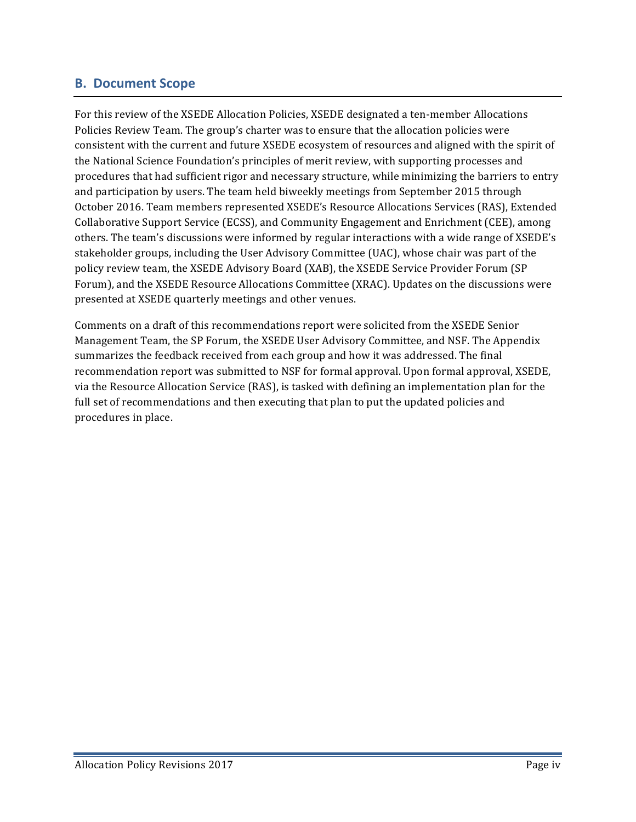#### **B. Document Scope**

For this review of the XSEDE Allocation Policies, XSEDE designated a ten-member Allocations Policies Review Team. The group's charter was to ensure that the allocation policies were consistent with the current and future XSEDE ecosystem of resources and aligned with the spirit of the National Science Foundation's principles of merit review, with supporting processes and procedures that had sufficient rigor and necessary structure, while minimizing the barriers to entry and participation by users. The team held biweekly meetings from September 2015 through October 2016. Team members represented XSEDE's Resource Allocations Services (RAS), Extended Collaborative Support Service (ECSS), and Community Engagement and Enrichment (CEE), among others. The team's discussions were informed by regular interactions with a wide range of XSEDE's stakeholder groups, including the User Advisory Committee (UAC), whose chair was part of the policy review team, the XSEDE Advisory Board (XAB), the XSEDE Service Provider Forum (SP Forum), and the XSEDE Resource Allocations Committee (XRAC). Updates on the discussions were presented at XSEDE quarterly meetings and other venues.

Comments on a draft of this recommendations report were solicited from the XSEDE Senior Management Team, the SP Forum, the XSEDE User Advisory Committee, and NSF. The Appendix summarizes the feedback received from each group and how it was addressed. The final recommendation report was submitted to NSF for formal approval. Upon formal approval, XSEDE, via the Resource Allocation Service (RAS), is tasked with defining an implementation plan for the full set of recommendations and then executing that plan to put the updated policies and procedures in place.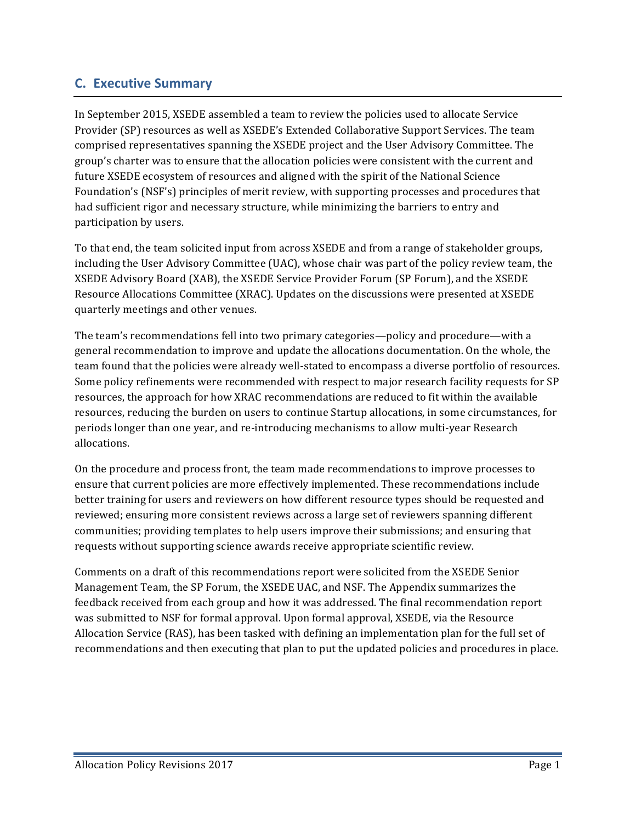## **C. Executive Summary**

In September 2015, XSEDE assembled a team to review the policies used to allocate Service Provider (SP) resources as well as XSEDE's Extended Collaborative Support Services. The team comprised representatives spanning the XSEDE project and the User Advisory Committee. The group's charter was to ensure that the allocation policies were consistent with the current and future XSEDE ecosystem of resources and aligned with the spirit of the National Science Foundation's (NSF's) principles of merit review, with supporting processes and procedures that had sufficient rigor and necessary structure, while minimizing the barriers to entry and participation by users.

To that end, the team solicited input from across XSEDE and from a range of stakeholder groups, including the User Advisory Committee (UAC), whose chair was part of the policy review team, the XSEDE Advisory Board (XAB), the XSEDE Service Provider Forum (SP Forum), and the XSEDE Resource Allocations Committee (XRAC). Updates on the discussions were presented at XSEDE quarterly meetings and other venues.

The team's recommendations fell into two primary categories—policy and procedure—with a general recommendation to improve and update the allocations documentation. On the whole, the team found that the policies were already well-stated to encompass a diverse portfolio of resources. Some policy refinements were recommended with respect to major research facility requests for SP resources, the approach for how XRAC recommendations are reduced to fit within the available resources, reducing the burden on users to continue Startup allocations, in some circumstances, for periods longer than one year, and re-introducing mechanisms to allow multi-year Research allocations. 

On the procedure and process front, the team made recommendations to improve processes to ensure that current policies are more effectively implemented. These recommendations include better training for users and reviewers on how different resource types should be requested and reviewed; ensuring more consistent reviews across a large set of reviewers spanning different communities; providing templates to help users improve their submissions; and ensuring that requests without supporting science awards receive appropriate scientific review.

Comments on a draft of this recommendations report were solicited from the XSEDE Senior Management Team, the SP Forum, the XSEDE UAC, and NSF. The Appendix summarizes the feedback received from each group and how it was addressed. The final recommendation report was submitted to NSF for formal approval. Upon formal approval, XSEDE, via the Resource Allocation Service (RAS), has been tasked with defining an implementation plan for the full set of recommendations and then executing that plan to put the updated policies and procedures in place.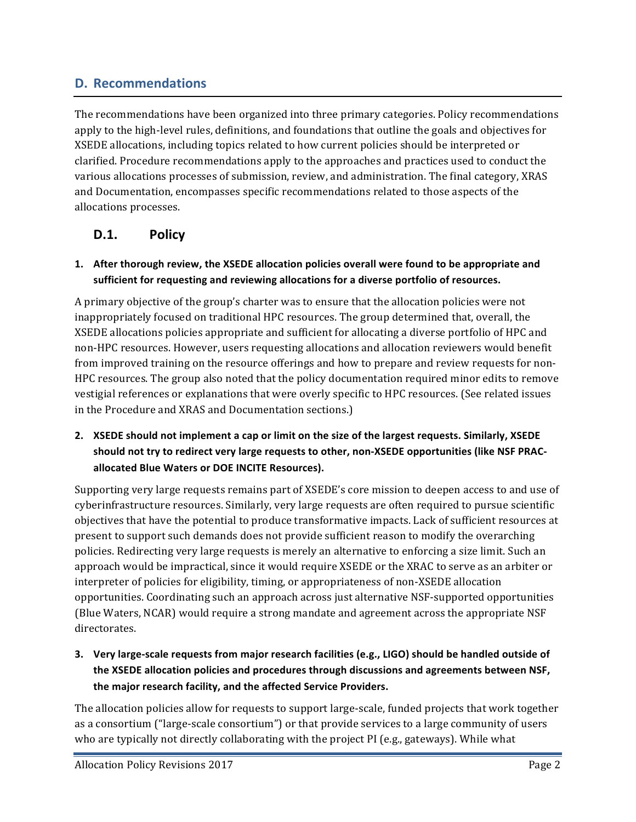# **D. Recommendations**

The recommendations have been organized into three primary categories. Policy recommendations apply to the high-level rules, definitions, and foundations that outline the goals and objectives for XSEDE allocations, including topics related to how current policies should be interpreted or clarified. Procedure recommendations apply to the approaches and practices used to conduct the various allocations processes of submission, review, and administration. The final category, XRAS and Documentation, encompasses specific recommendations related to those aspects of the allocations processes.

## **D.1. Policy**

**1.** After thorough review, the XSEDE allocation policies overall were found to be appropriate and sufficient for requesting and reviewing allocations for a diverse portfolio of resources.

A primary objective of the group's charter was to ensure that the allocation policies were not inappropriately focused on traditional HPC resources. The group determined that, overall, the XSEDE allocations policies appropriate and sufficient for allocating a diverse portfolio of HPC and non-HPC resources. However, users requesting allocations and allocation reviewers would benefit from improved training on the resource offerings and how to prepare and review requests for non-HPC resources. The group also noted that the policy documentation required minor edits to remove vestigial references or explanations that were overly specific to HPC resources. (See related issues in the Procedure and XRAS and Documentation sections.)

**2. XSEDE** should not implement a cap or limit on the size of the largest requests. Similarly, XSEDE should not try to redirect very large requests to other, non-XSEDE opportunities (like NSF PRACallocated Blue Waters or DOE INCITE Resources).

Supporting very large requests remains part of XSEDE's core mission to deepen access to and use of cyberinfrastructure resources. Similarly, very large requests are often required to pursue scientific objectives that have the potential to produce transformative impacts. Lack of sufficient resources at present to support such demands does not provide sufficient reason to modify the overarching policies. Redirecting very large requests is merely an alternative to enforcing a size limit. Such an approach would be impractical, since it would require XSEDE or the XRAC to serve as an arbiter or interpreter of policies for eligibility, timing, or appropriateness of non-XSEDE allocation opportunities. Coordinating such an approach across just alternative NSF-supported opportunities (Blue Waters, NCAR) would require a strong mandate and agreement across the appropriate NSF directorates.

**3.** Very large-scale requests from major research facilities (e.g., LIGO) should be handled outside of the XSEDE allocation policies and procedures through discussions and agreements between NSF, the major research facility, and the affected Service Providers.

The allocation policies allow for requests to support large-scale, funded projects that work together as a consortium ("large-scale consortium") or that provide services to a large community of users who are typically not directly collaborating with the project PI (e.g., gateways). While what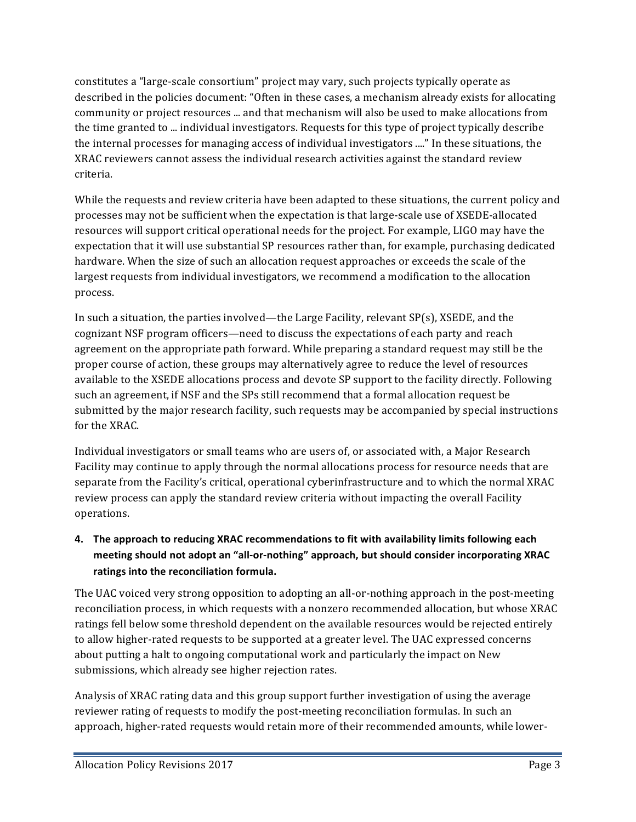constitutes a "large-scale consortium" project may vary, such projects typically operate as described in the policies document: "Often in these cases, a mechanism already exists for allocating community or project resources ... and that mechanism will also be used to make allocations from the time granted to ... individual investigators. Requests for this type of project typically describe the internal processes for managing access of individual investigators ...." In these situations, the XRAC reviewers cannot assess the individual research activities against the standard review criteria.

While the requests and review criteria have been adapted to these situations, the current policy and processes may not be sufficient when the expectation is that large-scale use of XSEDE-allocated resources will support critical operational needs for the project. For example, LIGO may have the expectation that it will use substantial SP resources rather than, for example, purchasing dedicated hardware. When the size of such an allocation request approaches or exceeds the scale of the largest requests from individual investigators, we recommend a modification to the allocation process.

In such a situation, the parties involved—the Large Facility, relevant  $SP(s)$ , XSEDE, and the cognizant NSF program officers—need to discuss the expectations of each party and reach agreement on the appropriate path forward. While preparing a standard request may still be the proper course of action, these groups may alternatively agree to reduce the level of resources available to the XSEDE allocations process and devote SP support to the facility directly. Following such an agreement, if NSF and the SPs still recommend that a formal allocation request be submitted by the major research facility, such requests may be accompanied by special instructions for the XRAC.

Individual investigators or small teams who are users of, or associated with, a Major Research Facility may continue to apply through the normal allocations process for resource needs that are separate from the Facility's critical, operational cyberinfrastructure and to which the normal XRAC review process can apply the standard review criteria without impacting the overall Facility operations.

## 4. The approach to reducing XRAC recommendations to fit with availability limits following each meeting should not adopt an "all-or-nothing" approach, but should consider incorporating XRAC ratings into the reconciliation formula.

The UAC voiced very strong opposition to adopting an all-or-nothing approach in the post-meeting reconciliation process, in which requests with a nonzero recommended allocation, but whose XRAC ratings fell below some threshold dependent on the available resources would be rejected entirely to allow higher-rated requests to be supported at a greater level. The UAC expressed concerns about putting a halt to ongoing computational work and particularly the impact on New submissions, which already see higher rejection rates.

Analysis of XRAC rating data and this group support further investigation of using the average reviewer rating of requests to modify the post-meeting reconciliation formulas. In such an approach, higher-rated requests would retain more of their recommended amounts, while lower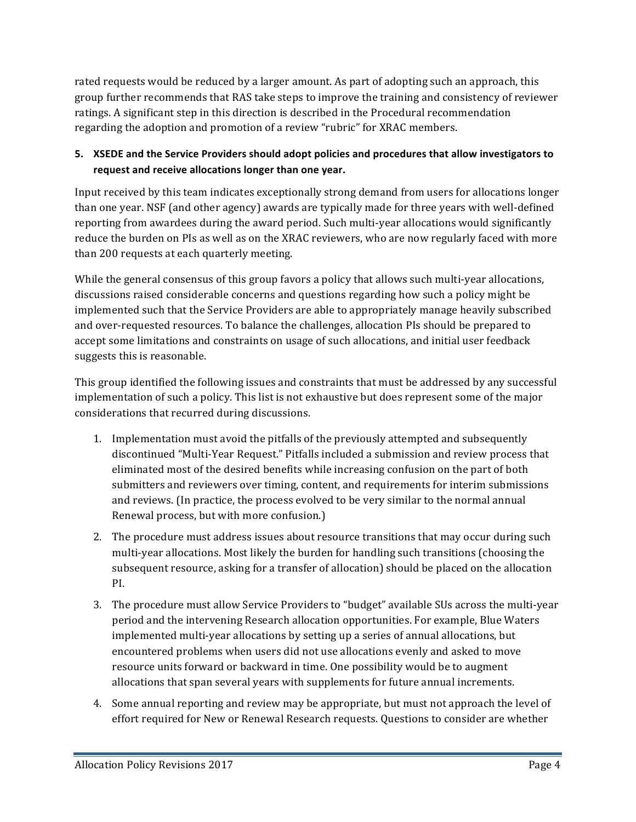rated requests would be reduced by a larger amount. As part of adopting such an approach, this group further recommends that RAS take steps to improve the training and consistency of reviewer ratings. A significant step in this direction is described in the Procedural recommendation regarding the adoption and promotion of a review "rubric" for XRAC members.

#### 5. XSEDE and the Service Providers should adopt policies and procedures that allow investigators to request and receive allocations longer than one year.

Input received by this team indicates exceptionally strong demand from users for allocations longer than one year. NSF (and other agency) awards are typically made for three years with well-defined reporting from awardees during the award period. Such multi-year allocations would significantly reduce the burden on PIs as well as on the XRAC reviewers, who are now regularly faced with more than 200 requests at each quarterly meeting.

While the general consensus of this group favors a policy that allows such multi-year allocations, discussions raised considerable concerns and questions regarding how such a policy might be implemented such that the Service Providers are able to appropriately manage heavily subscribed and over-requested resources. To balance the challenges, allocation PIs should be prepared to accept some limitations and constraints on usage of such allocations, and initial user feedback suggests this is reasonable.

This group identified the following issues and constraints that must be addressed by any successful implementation of such a policy. This list is not exhaustive but does represent some of the major considerations that recurred during discussions.

- 1. Implementation must avoid the pitfalls of the previously attempted and subsequently discontinued "Multi-Year Request." Pitfalls included a submission and review process that eliminated most of the desired benefits while increasing confusion on the part of both submitters and reviewers over timing, content, and requirements for interim submissions and reviews. (In practice, the process evolved to be very similar to the normal annual Renewal process, but with more confusion.)
- 2. The procedure must address issues about resource transitions that may occur during such multi-year allocations. Most likely the burden for handling such transitions (choosing the subsequent resource, asking for a transfer of allocation) should be placed on the allocation PI.
- 3. The procedure must allow Service Providers to "budget" available SUs across the multi-year period and the intervening Research allocation opportunities. For example, Blue Waters implemented multi-year allocations by setting up a series of annual allocations, but encountered problems when users did not use allocations evenly and asked to move resource units forward or backward in time. One possibility would be to augment allocations that span several years with supplements for future annual increments.
- 4. Some annual reporting and review may be appropriate, but must not approach the level of effort required for New or Renewal Research requests. Questions to consider are whether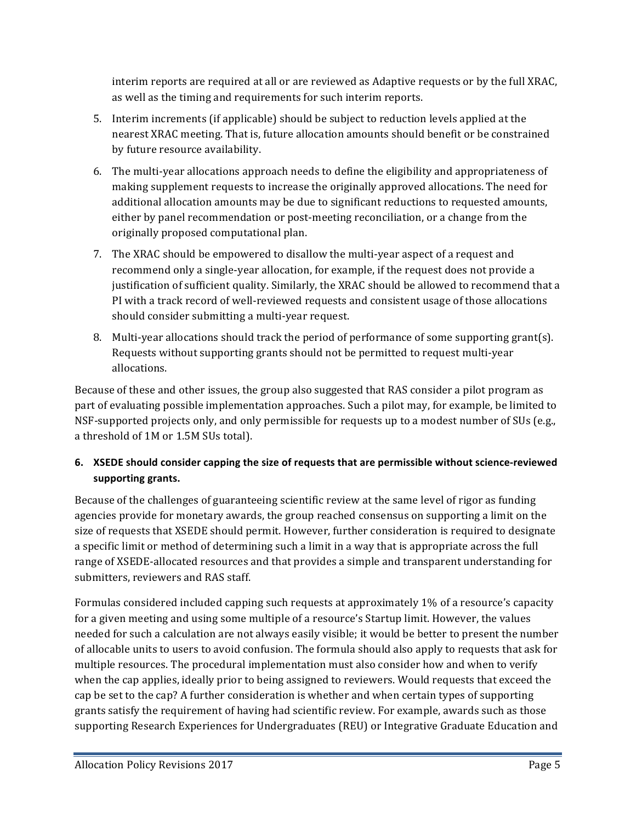interim reports are required at all or are reviewed as Adaptive requests or by the full XRAC, as well as the timing and requirements for such interim reports.

- 5. Interim increments (if applicable) should be subject to reduction levels applied at the nearest XRAC meeting. That is, future allocation amounts should benefit or be constrained by future resource availability.
- 6. The multi-year allocations approach needs to define the eligibility and appropriateness of making supplement requests to increase the originally approved allocations. The need for additional allocation amounts may be due to significant reductions to requested amounts, either by panel recommendation or post-meeting reconciliation, or a change from the originally proposed computational plan.
- 7. The XRAC should be empowered to disallow the multi-year aspect of a request and recommend only a single-year allocation, for example, if the request does not provide a justification of sufficient quality. Similarly, the XRAC should be allowed to recommend that a PI with a track record of well-reviewed requests and consistent usage of those allocations should consider submitting a multi-year request.
- 8. Multi-year allocations should track the period of performance of some supporting grant(s). Requests without supporting grants should not be permitted to request multi-year allocations.

Because of these and other issues, the group also suggested that RAS consider a pilot program as part of evaluating possible implementation approaches. Such a pilot may, for example, be limited to NSF-supported projects only, and only permissible for requests up to a modest number of SUs (e.g., a threshold of 1M or 1.5M SUs total).

#### 6. XSEDE should consider capping the size of requests that are permissible without science-reviewed **supporting grants.**

Because of the challenges of guaranteeing scientific review at the same level of rigor as funding agencies provide for monetary awards, the group reached consensus on supporting a limit on the size of requests that XSEDE should permit. However, further consideration is required to designate a specific limit or method of determining such a limit in a way that is appropriate across the full range of XSEDE-allocated resources and that provides a simple and transparent understanding for submitters, reviewers and RAS staff.

Formulas considered included capping such requests at approximately 1% of a resource's capacity for a given meeting and using some multiple of a resource's Startup limit. However, the values needed for such a calculation are not always easily visible; it would be better to present the number of allocable units to users to avoid confusion. The formula should also apply to requests that ask for multiple resources. The procedural implementation must also consider how and when to verify when the cap applies, ideally prior to being assigned to reviewers. Would requests that exceed the cap be set to the cap? A further consideration is whether and when certain types of supporting grants satisfy the requirement of having had scientific review. For example, awards such as those supporting Research Experiences for Undergraduates (REU) or Integrative Graduate Education and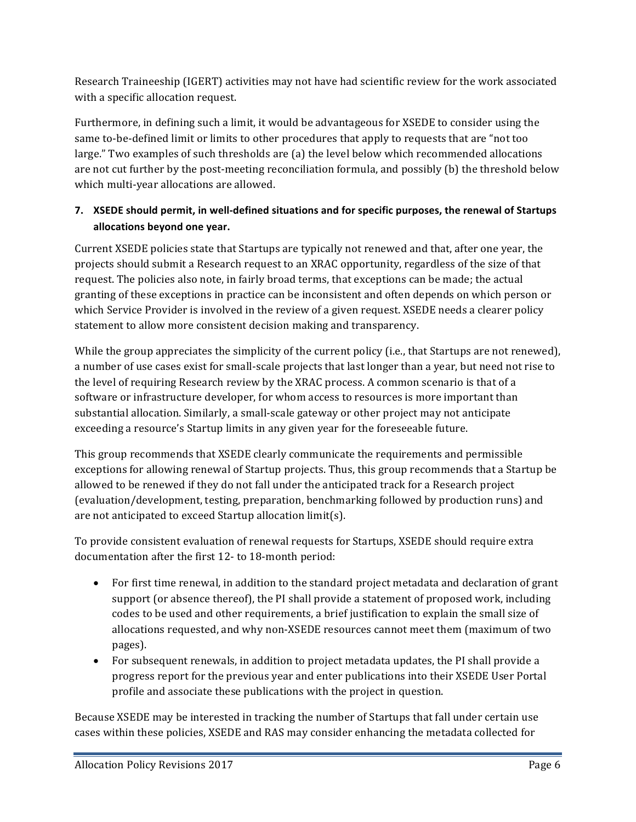Research Traineeship (IGERT) activities may not have had scientific review for the work associated with a specific allocation request.

Furthermore, in defining such a limit, it would be advantageous for XSEDE to consider using the same to-be-defined limit or limits to other procedures that apply to requests that are "not too large." Two examples of such thresholds are (a) the level below which recommended allocations are not cut further by the post-meeting reconciliation formula, and possibly (b) the threshold below which multi-year allocations are allowed.

#### **7. XSEDE** should permit, in well-defined situations and for specific purposes, the renewal of Startups **allocations beyond one year.**

Current XSEDE policies state that Startups are typically not renewed and that, after one year, the projects should submit a Research request to an XRAC opportunity, regardless of the size of that request. The policies also note, in fairly broad terms, that exceptions can be made; the actual granting of these exceptions in practice can be inconsistent and often depends on which person or which Service Provider is involved in the review of a given request. XSEDE needs a clearer policy statement to allow more consistent decision making and transparency.

While the group appreciates the simplicity of the current policy (i.e., that Startups are not renewed), a number of use cases exist for small-scale projects that last longer than a year, but need not rise to the level of requiring Research review by the XRAC process. A common scenario is that of a software or infrastructure developer, for whom access to resources is more important than substantial allocation. Similarly, a small-scale gateway or other project may not anticipate exceeding a resource's Startup limits in any given year for the foreseeable future.

This group recommends that XSEDE clearly communicate the requirements and permissible exceptions for allowing renewal of Startup projects. Thus, this group recommends that a Startup be allowed to be renewed if they do not fall under the anticipated track for a Research project (evaluation/development, testing, preparation, benchmarking followed by production runs) and are not anticipated to exceed Startup allocation  $\text{limit}(s)$ .

To provide consistent evaluation of renewal requests for Startups, XSEDE should require extra documentation after the first 12- to 18-month period:

- For first time renewal, in addition to the standard project metadata and declaration of grant support (or absence thereof), the PI shall provide a statement of proposed work, including codes to be used and other requirements, a brief justification to explain the small size of allocations requested, and why non-XSEDE resources cannot meet them (maximum of two pages).
- For subsequent renewals, in addition to project metadata updates, the PI shall provide a progress report for the previous year and enter publications into their XSEDE User Portal profile and associate these publications with the project in question.

Because XSEDE may be interested in tracking the number of Startups that fall under certain use cases within these policies, XSEDE and RAS may consider enhancing the metadata collected for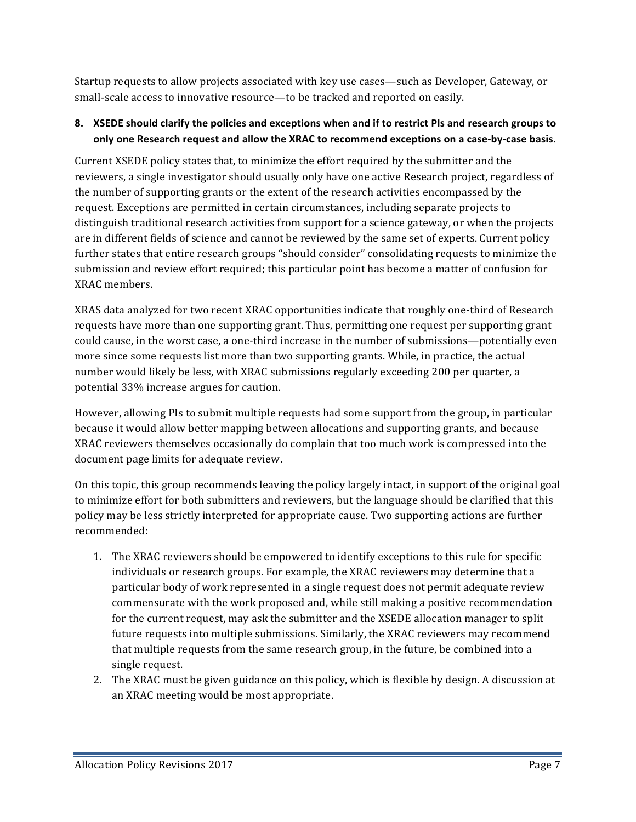Startup requests to allow projects associated with key use cases—such as Developer, Gateway, or small-scale access to innovative resource—to be tracked and reported on easily.

#### **8. XSEDE** should clarify the policies and exceptions when and if to restrict PIs and research groups to only one Research request and allow the XRAC to recommend exceptions on a case-by-case basis.

Current XSEDE policy states that, to minimize the effort required by the submitter and the reviewers, a single investigator should usually only have one active Research project, regardless of the number of supporting grants or the extent of the research activities encompassed by the request. Exceptions are permitted in certain circumstances, including separate projects to distinguish traditional research activities from support for a science gateway, or when the projects are in different fields of science and cannot be reviewed by the same set of experts. Current policy further states that entire research groups "should consider" consolidating requests to minimize the submission and review effort required; this particular point has become a matter of confusion for XRAC members.

XRAS data analyzed for two recent XRAC opportunities indicate that roughly one-third of Research requests have more than one supporting grant. Thus, permitting one request per supporting grant could cause, in the worst case, a one-third increase in the number of submissions—potentially even more since some requests list more than two supporting grants. While, in practice, the actual number would likely be less, with XRAC submissions regularly exceeding 200 per quarter, a potential 33% increase argues for caution.

However, allowing PIs to submit multiple requests had some support from the group, in particular because it would allow better mapping between allocations and supporting grants, and because XRAC reviewers themselves occasionally do complain that too much work is compressed into the document page limits for adequate review.

On this topic, this group recommends leaving the policy largely intact, in support of the original goal to minimize effort for both submitters and reviewers, but the language should be clarified that this policy may be less strictly interpreted for appropriate cause. Two supporting actions are further recommended:

- 1. The XRAC reviewers should be empowered to identify exceptions to this rule for specific individuals or research groups. For example, the XRAC reviewers may determine that a particular body of work represented in a single request does not permit adequate review commensurate with the work proposed and, while still making a positive recommendation for the current request, may ask the submitter and the XSEDE allocation manager to split future requests into multiple submissions. Similarly, the XRAC reviewers may recommend that multiple requests from the same research group, in the future, be combined into a single request.
- 2. The XRAC must be given guidance on this policy, which is flexible by design. A discussion at an XRAC meeting would be most appropriate.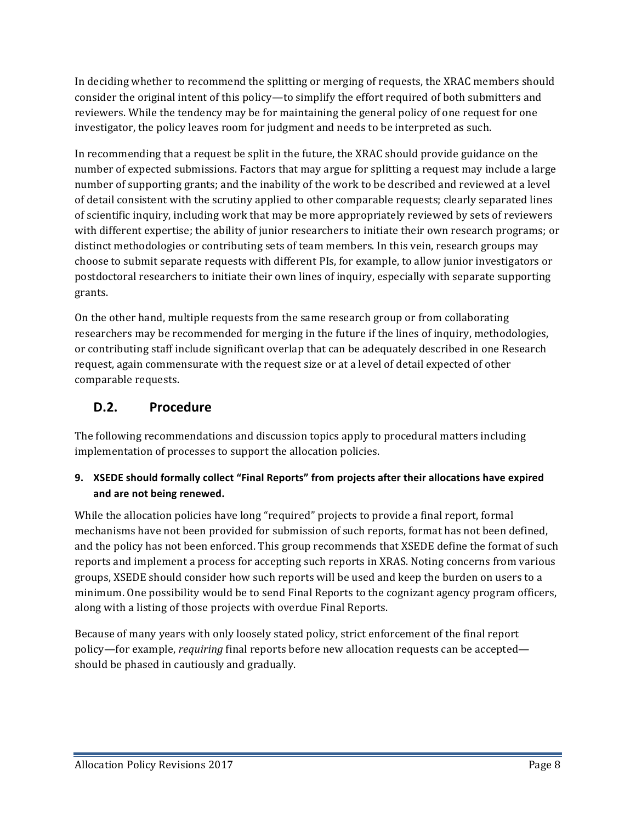In deciding whether to recommend the splitting or merging of requests, the XRAC members should consider the original intent of this policy—to simplify the effort required of both submitters and reviewers. While the tendency may be for maintaining the general policy of one request for one investigator, the policy leaves room for judgment and needs to be interpreted as such.

In recommending that a request be split in the future, the XRAC should provide guidance on the number of expected submissions. Factors that may argue for splitting a request may include a large number of supporting grants; and the inability of the work to be described and reviewed at a level of detail consistent with the scrutiny applied to other comparable requests; clearly separated lines of scientific inquiry, including work that may be more appropriately reviewed by sets of reviewers with different expertise; the ability of junior researchers to initiate their own research programs; or distinct methodologies or contributing sets of team members. In this vein, research groups may choose to submit separate requests with different PIs, for example, to allow junior investigators or postdoctoral researchers to initiate their own lines of inquiry, especially with separate supporting grants.

On the other hand, multiple requests from the same research group or from collaborating researchers may be recommended for merging in the future if the lines of inquiry, methodologies, or contributing staff include significant overlap that can be adequately described in one Research request, again commensurate with the request size or at a level of detail expected of other comparable requests.

# **D.2. Procedure**

The following recommendations and discussion topics apply to procedural matters including implementation of processes to support the allocation policies.

#### 9. XSEDE should formally collect "Final Reports" from projects after their allocations have expired and are not being renewed.

While the allocation policies have long "required" projects to provide a final report, formal mechanisms have not been provided for submission of such reports, format has not been defined, and the policy has not been enforced. This group recommends that XSEDE define the format of such reports and implement a process for accepting such reports in XRAS. Noting concerns from various groups, XSEDE should consider how such reports will be used and keep the burden on users to a minimum. One possibility would be to send Final Reports to the cognizant agency program officers, along with a listing of those projects with overdue Final Reports.

Because of many years with only loosely stated policy, strict enforcement of the final report policy—for example, *requiring* final reports before new allocation requests can be accepted should be phased in cautiously and gradually.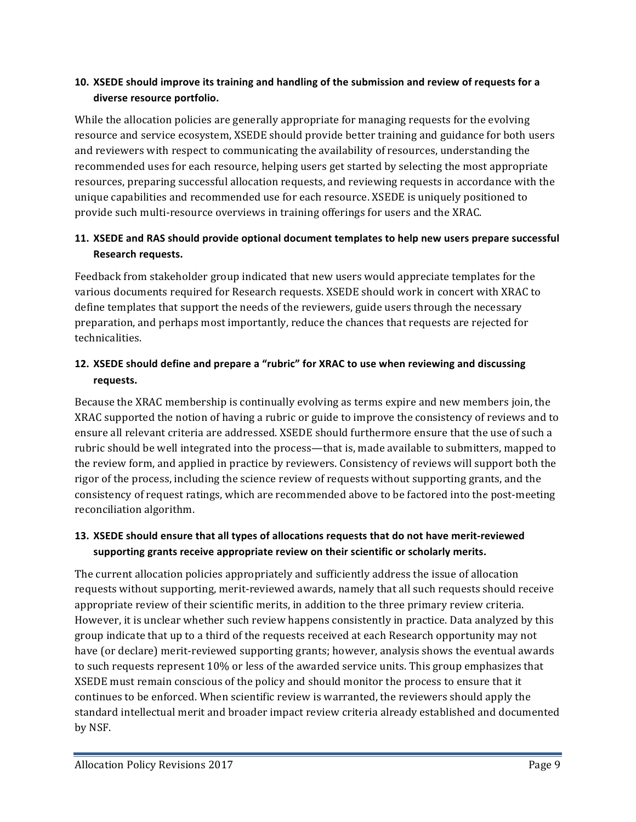#### 10. **XSEDE** should improve its training and handling of the submission and review of requests for a **diverse resource portfolio.**

While the allocation policies are generally appropriate for managing requests for the evolving resource and service ecosystem, XSEDE should provide better training and guidance for both users and reviewers with respect to communicating the availability of resources, understanding the recommended uses for each resource, helping users get started by selecting the most appropriate resources, preparing successful allocation requests, and reviewing requests in accordance with the unique capabilities and recommended use for each resource. XSEDE is uniquely positioned to provide such multi-resource overviews in training offerings for users and the XRAC.

#### **11. XSEDE and RAS should provide optional document templates to help new users prepare successful Research requests.**

Feedback from stakeholder group indicated that new users would appreciate templates for the various documents required for Research requests. XSEDE should work in concert with XRAC to define templates that support the needs of the reviewers, guide users through the necessary preparation, and perhaps most importantly, reduce the chances that requests are rejected for technicalities.

#### **12. XSEDE** should define and prepare a "rubric" for XRAC to use when reviewing and discussing **requests.**

Because the XRAC membership is continually evolving as terms expire and new members join, the XRAC supported the notion of having a rubric or guide to improve the consistency of reviews and to ensure all relevant criteria are addressed. XSEDE should furthermore ensure that the use of such a rubric should be well integrated into the process—that is, made available to submitters, mapped to the review form, and applied in practice by reviewers. Consistency of reviews will support both the rigor of the process, including the science review of requests without supporting grants, and the consistency of request ratings, which are recommended above to be factored into the post-meeting reconciliation algorithm.

#### **13. XSEDE** should ensure that all types of allocations requests that do not have merit-reviewed supporting grants receive appropriate review on their scientific or scholarly merits.

The current allocation policies appropriately and sufficiently address the issue of allocation requests without supporting, merit-reviewed awards, namely that all such requests should receive appropriate review of their scientific merits, in addition to the three primary review criteria. However, it is unclear whether such review happens consistently in practice. Data analyzed by this group indicate that up to a third of the requests received at each Research opportunity may not have (or declare) merit-reviewed supporting grants; however, analysis shows the eventual awards to such requests represent 10% or less of the awarded service units. This group emphasizes that XSEDE must remain conscious of the policy and should monitor the process to ensure that it continues to be enforced. When scientific review is warranted, the reviewers should apply the standard intellectual merit and broader impact review criteria already established and documented by NSF.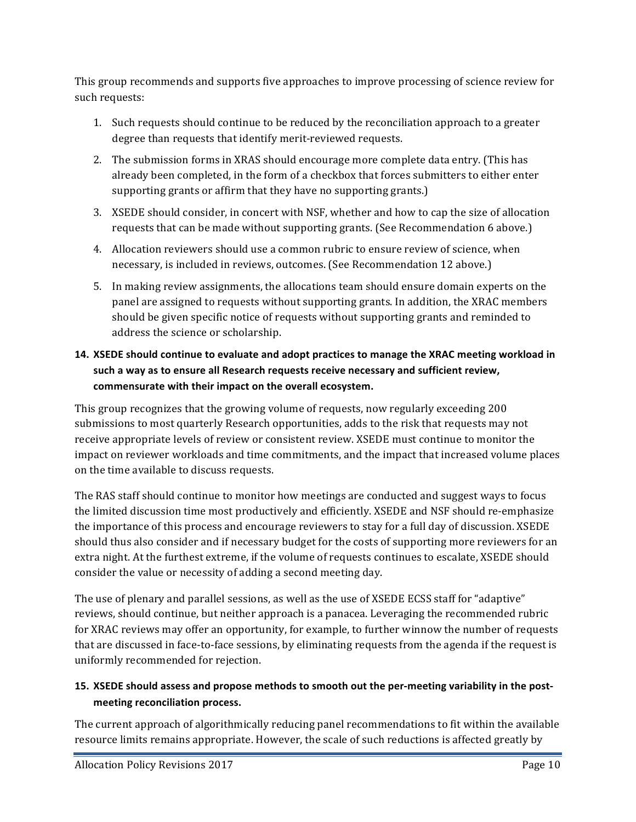This group recommends and supports five approaches to improve processing of science review for such requests:

- 1. Such requests should continue to be reduced by the reconciliation approach to a greater degree than requests that identify merit-reviewed requests.
- 2. The submission forms in XRAS should encourage more complete data entry. (This has already been completed, in the form of a checkbox that forces submitters to either enter supporting grants or affirm that they have no supporting grants.)
- 3. XSEDE should consider, in concert with NSF, whether and how to cap the size of allocation requests that can be made without supporting grants. (See Recommendation 6 above.)
- 4. Allocation reviewers should use a common rubric to ensure review of science, when necessary, is included in reviews, outcomes. (See Recommendation 12 above.)
- 5. In making review assignments, the allocations team should ensure domain experts on the panel are assigned to requests without supporting grants. In addition, the XRAC members should be given specific notice of requests without supporting grants and reminded to address the science or scholarship.

#### 14. XSEDE should continue to evaluate and adopt practices to manage the XRAC meeting workload in such a way as to ensure all Research requests receive necessary and sufficient review, commensurate with their impact on the overall ecosystem.

This group recognizes that the growing volume of requests, now regularly exceeding 200 submissions to most quarterly Research opportunities, adds to the risk that requests may not receive appropriate levels of review or consistent review. XSEDE must continue to monitor the impact on reviewer workloads and time commitments, and the impact that increased volume places on the time available to discuss requests.

The RAS staff should continue to monitor how meetings are conducted and suggest ways to focus the limited discussion time most productively and efficiently. XSEDE and NSF should re-emphasize the importance of this process and encourage reviewers to stay for a full day of discussion. XSEDE should thus also consider and if necessary budget for the costs of supporting more reviewers for an extra night. At the furthest extreme, if the volume of requests continues to escalate, XSEDE should consider the value or necessity of adding a second meeting day.

The use of plenary and parallel sessions, as well as the use of XSEDE ECSS staff for "adaptive" reviews, should continue, but neither approach is a panacea. Leveraging the recommended rubric for XRAC reviews may offer an opportunity, for example, to further winnow the number of requests that are discussed in face-to-face sessions, by eliminating requests from the agenda if the request is uniformly recommended for rejection.

#### 15. XSEDE should assess and propose methods to smooth out the per-meeting variability in the post**meeting reconciliation process.**

The current approach of algorithmically reducing panel recommendations to fit within the available resource limits remains appropriate. However, the scale of such reductions is affected greatly by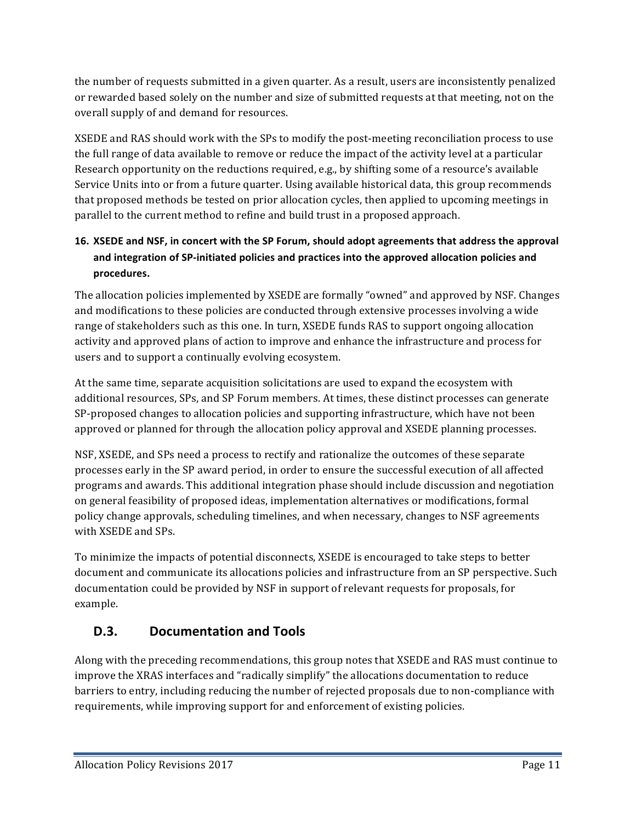the number of requests submitted in a given quarter. As a result, users are inconsistently penalized or rewarded based solely on the number and size of submitted requests at that meeting, not on the overall supply of and demand for resources.

XSEDE and RAS should work with the SPs to modify the post-meeting reconciliation process to use the full range of data available to remove or reduce the impact of the activity level at a particular Research opportunity on the reductions required, e.g., by shifting some of a resource's available Service Units into or from a future quarter. Using available historical data, this group recommends that proposed methods be tested on prior allocation cycles, then applied to upcoming meetings in parallel to the current method to refine and build trust in a proposed approach.

## 16. XSEDE and NSF, in concert with the SP Forum, should adopt agreements that address the approval and integration of SP-initiated policies and practices into the approved allocation policies and **procedures.**

The allocation policies implemented by XSEDE are formally "owned" and approved by NSF. Changes and modifications to these policies are conducted through extensive processes involving a wide range of stakeholders such as this one. In turn, XSEDE funds RAS to support ongoing allocation activity and approved plans of action to improve and enhance the infrastructure and process for users and to support a continually evolving ecosystem.

At the same time, separate acquisition solicitations are used to expand the ecosystem with additional resources, SPs, and SP Forum members. At times, these distinct processes can generate SP-proposed changes to allocation policies and supporting infrastructure, which have not been approved or planned for through the allocation policy approval and XSEDE planning processes.

NSF, XSEDE, and SPs need a process to rectify and rationalize the outcomes of these separate processes early in the SP award period, in order to ensure the successful execution of all affected programs and awards. This additional integration phase should include discussion and negotiation on general feasibility of proposed ideas, implementation alternatives or modifications, formal policy change approvals, scheduling timelines, and when necessary, changes to NSF agreements with XSEDE and SPs.

To minimize the impacts of potential disconnects, XSEDE is encouraged to take steps to better document and communicate its allocations policies and infrastructure from an SP perspective. Such documentation could be provided by NSF in support of relevant requests for proposals, for example.

# **D.3. Documentation and Tools**

Along with the preceding recommendations, this group notes that XSEDE and RAS must continue to improve the XRAS interfaces and "radically simplify" the allocations documentation to reduce barriers to entry, including reducing the number of rejected proposals due to non-compliance with requirements, while improving support for and enforcement of existing policies.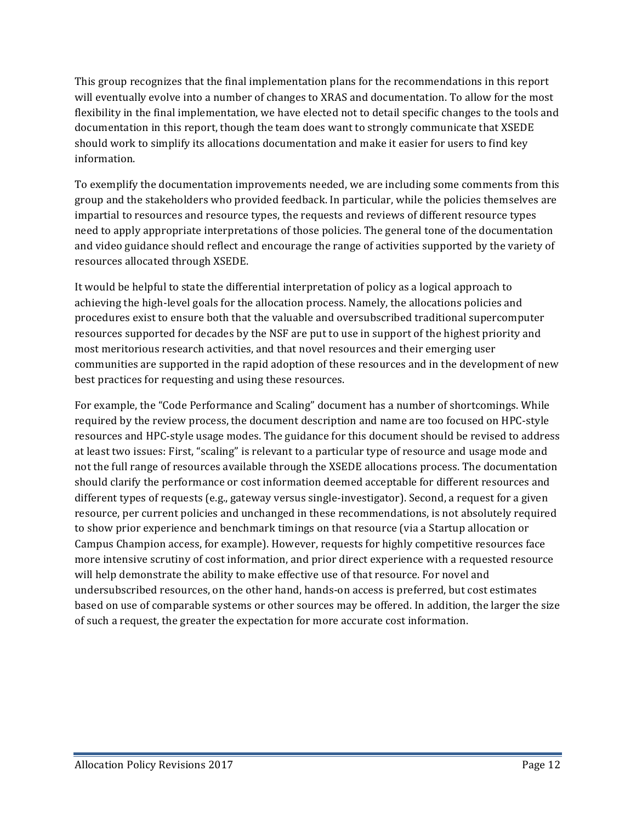This group recognizes that the final implementation plans for the recommendations in this report will eventually evolve into a number of changes to XRAS and documentation. To allow for the most flexibility in the final implementation, we have elected not to detail specific changes to the tools and documentation in this report, though the team does want to strongly communicate that XSEDE should work to simplify its allocations documentation and make it easier for users to find key information. 

To exemplify the documentation improvements needed, we are including some comments from this group and the stakeholders who provided feedback. In particular, while the policies themselves are impartial to resources and resource types, the requests and reviews of different resource types need to apply appropriate interpretations of those policies. The general tone of the documentation and video guidance should reflect and encourage the range of activities supported by the variety of resources allocated through XSEDE.

It would be helpful to state the differential interpretation of policy as a logical approach to achieving the high-level goals for the allocation process. Namely, the allocations policies and procedures exist to ensure both that the valuable and oversubscribed traditional supercomputer resources supported for decades by the NSF are put to use in support of the highest priority and most meritorious research activities, and that novel resources and their emerging user communities are supported in the rapid adoption of these resources and in the development of new best practices for requesting and using these resources.

For example, the "Code Performance and Scaling" document has a number of shortcomings. While required by the review process, the document description and name are too focused on HPC-style resources and HPC-style usage modes. The guidance for this document should be revised to address at least two issues: First, "scaling" is relevant to a particular type of resource and usage mode and not the full range of resources available through the XSEDE allocations process. The documentation should clarify the performance or cost information deemed acceptable for different resources and different types of requests  $(e.g., gateway versus single-inverse$ . Second, a request for a given resource, per current policies and unchanged in these recommendations, is not absolutely required to show prior experience and benchmark timings on that resource (via a Startup allocation or Campus Champion access, for example). However, requests for highly competitive resources face more intensive scrutiny of cost information, and prior direct experience with a requested resource will help demonstrate the ability to make effective use of that resource. For novel and undersubscribed resources, on the other hand, hands-on access is preferred, but cost estimates based on use of comparable systems or other sources may be offered. In addition, the larger the size of such a request, the greater the expectation for more accurate cost information.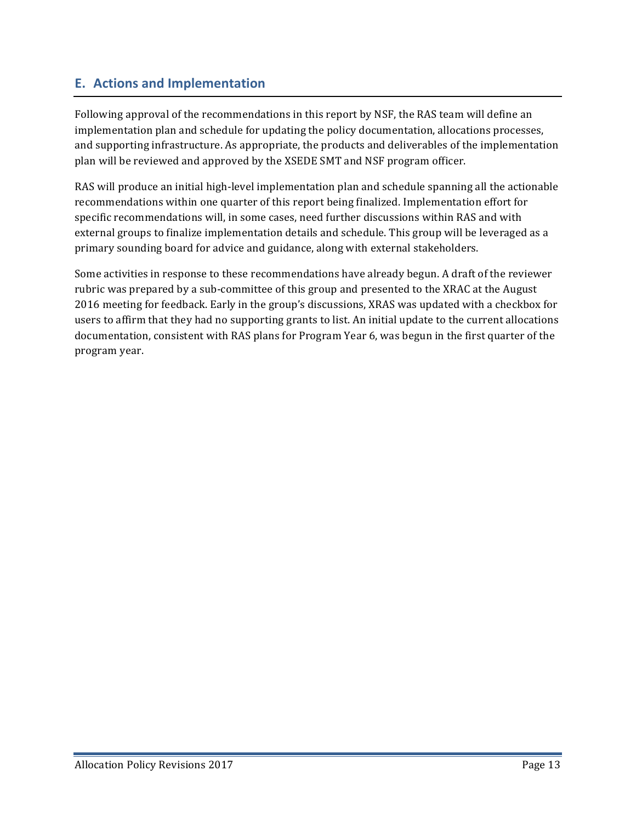# **E. Actions and Implementation**

Following approval of the recommendations in this report by NSF, the RAS team will define an implementation plan and schedule for updating the policy documentation, allocations processes, and supporting infrastructure. As appropriate, the products and deliverables of the implementation plan will be reviewed and approved by the XSEDE SMT and NSF program officer.

RAS will produce an initial high-level implementation plan and schedule spanning all the actionable recommendations within one quarter of this report being finalized. Implementation effort for specific recommendations will, in some cases, need further discussions within RAS and with external groups to finalize implementation details and schedule. This group will be leveraged as a primary sounding board for advice and guidance, along with external stakeholders.

Some activities in response to these recommendations have already begun. A draft of the reviewer rubric was prepared by a sub-committee of this group and presented to the XRAC at the August 2016 meeting for feedback. Early in the group's discussions, XRAS was updated with a checkbox for users to affirm that they had no supporting grants to list. An initial update to the current allocations documentation, consistent with RAS plans for Program Year 6, was begun in the first quarter of the program year.